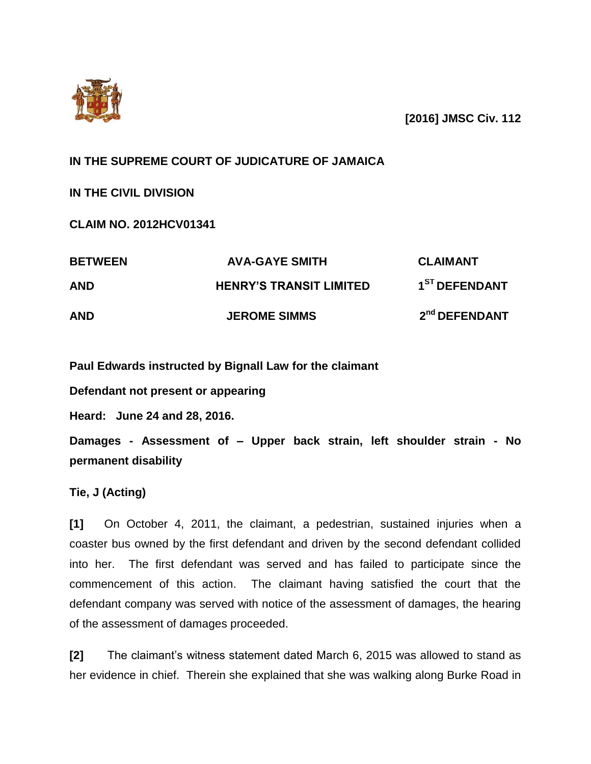

**[2016] JMSC Civ. 112**

## **IN THE SUPREME COURT OF JUDICATURE OF JAMAICA**

**IN THE CIVIL DIVISION**

**CLAIM NO. 2012HCV01341**

| <b>BETWEEN</b> | <b>AVA-GAYE SMITH</b>          | <b>CLAIMANT</b>           |
|----------------|--------------------------------|---------------------------|
| <b>AND</b>     | <b>HENRY'S TRANSIT LIMITED</b> | 1 <sup>ST</sup> DEFENDANT |
| <b>AND</b>     | <b>JEROME SIMMS</b>            | 2 <sup>nd</sup> DEFENDANT |

**Paul Edwards instructed by Bignall Law for the claimant** 

**Defendant not present or appearing**

**Heard: June 24 and 28, 2016.**

**Damages - Assessment of – Upper back strain, left shoulder strain - No permanent disability**

**Tie, J (Acting)**

**[1]** On October 4, 2011, the claimant, a pedestrian, sustained injuries when a coaster bus owned by the first defendant and driven by the second defendant collided into her. The first defendant was served and has failed to participate since the commencement of this action. The claimant having satisfied the court that the defendant company was served with notice of the assessment of damages, the hearing of the assessment of damages proceeded.

**[2]** The claimant's witness statement dated March 6, 2015 was allowed to stand as her evidence in chief. Therein she explained that she was walking along Burke Road in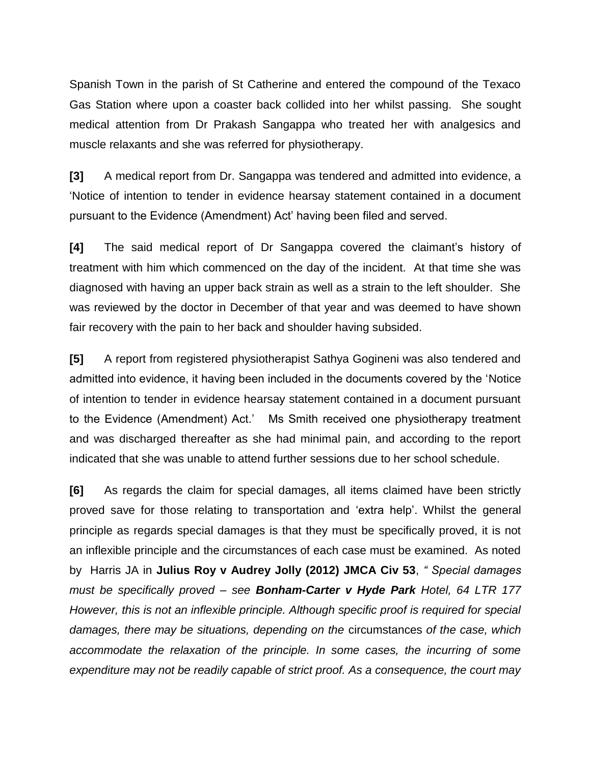Spanish Town in the parish of St Catherine and entered the compound of the Texaco Gas Station where upon a coaster back collided into her whilst passing. She sought medical attention from Dr Prakash Sangappa who treated her with analgesics and muscle relaxants and she was referred for physiotherapy.

**[3]** A medical report from Dr. Sangappa was tendered and admitted into evidence, a 'Notice of intention to tender in evidence hearsay statement contained in a document pursuant to the Evidence (Amendment) Act' having been filed and served.

**[4]** The said medical report of Dr Sangappa covered the claimant's history of treatment with him which commenced on the day of the incident. At that time she was diagnosed with having an upper back strain as well as a strain to the left shoulder. She was reviewed by the doctor in December of that year and was deemed to have shown fair recovery with the pain to her back and shoulder having subsided.

**[5]** A report from registered physiotherapist Sathya Gogineni was also tendered and admitted into evidence, it having been included in the documents covered by the 'Notice of intention to tender in evidence hearsay statement contained in a document pursuant to the Evidence (Amendment) Act.' Ms Smith received one physiotherapy treatment and was discharged thereafter as she had minimal pain, and according to the report indicated that she was unable to attend further sessions due to her school schedule.

**[6]** As regards the claim for special damages, all items claimed have been strictly proved save for those relating to transportation and 'extra help'. Whilst the general principle as regards special damages is that they must be specifically proved, it is not an inflexible principle and the circumstances of each case must be examined. As noted by Harris JA in **Julius Roy v Audrey Jolly (2012) JMCA Civ 53**, *" Special damages must be specifically proved – see Bonham-Carter v Hyde Park Hotel, 64 LTR 177 However, this is not an inflexible principle. Although specific proof is required for special damages, there may be situations, depending on the* circumstances *of the case, which accommodate the relaxation of the principle. In some cases, the incurring of some expenditure may not be readily capable of strict proof. As a consequence, the court may*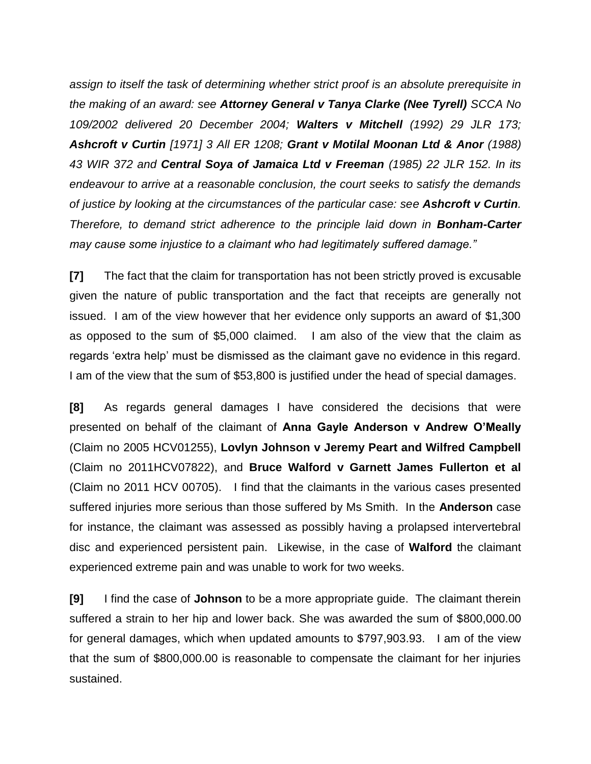*assign to itself the task of determining whether strict proof is an absolute prerequisite in the making of an award: see Attorney General v Tanya Clarke (Nee Tyrell) SCCA No 109/2002 delivered 20 December 2004; Walters v Mitchell (1992) 29 JLR 173; Ashcroft v Curtin [1971] 3 All ER 1208; Grant v Motilal Moonan Ltd & Anor (1988) 43 WIR 372 and Central Soya of Jamaica Ltd v Freeman (1985) 22 JLR 152. In its endeavour to arrive at a reasonable conclusion, the court seeks to satisfy the demands of justice by looking at the circumstances of the particular case: see Ashcroft v Curtin. Therefore, to demand strict adherence to the principle laid down in Bonham-Carter may cause some injustice to a claimant who had legitimately suffered damage."*

**[7]** The fact that the claim for transportation has not been strictly proved is excusable given the nature of public transportation and the fact that receipts are generally not issued. I am of the view however that her evidence only supports an award of \$1,300 as opposed to the sum of \$5,000 claimed. I am also of the view that the claim as regards 'extra help' must be dismissed as the claimant gave no evidence in this regard. I am of the view that the sum of \$53,800 is justified under the head of special damages.

**[8]** As regards general damages I have considered the decisions that were presented on behalf of the claimant of **Anna Gayle Anderson v Andrew O'Meally** (Claim no 2005 HCV01255), **Lovlyn Johnson v Jeremy Peart and Wilfred Campbell** (Claim no 2011HCV07822), and **Bruce Walford v Garnett James Fullerton et al**  (Claim no 2011 HCV 00705). I find that the claimants in the various cases presented suffered injuries more serious than those suffered by Ms Smith. In the **Anderson** case for instance, the claimant was assessed as possibly having a prolapsed intervertebral disc and experienced persistent pain. Likewise, in the case of **Walford** the claimant experienced extreme pain and was unable to work for two weeks.

**[9]** I find the case of **Johnson** to be a more appropriate guide. The claimant therein suffered a strain to her hip and lower back. She was awarded the sum of \$800,000.00 for general damages, which when updated amounts to \$797,903.93. I am of the view that the sum of \$800,000.00 is reasonable to compensate the claimant for her injuries sustained.